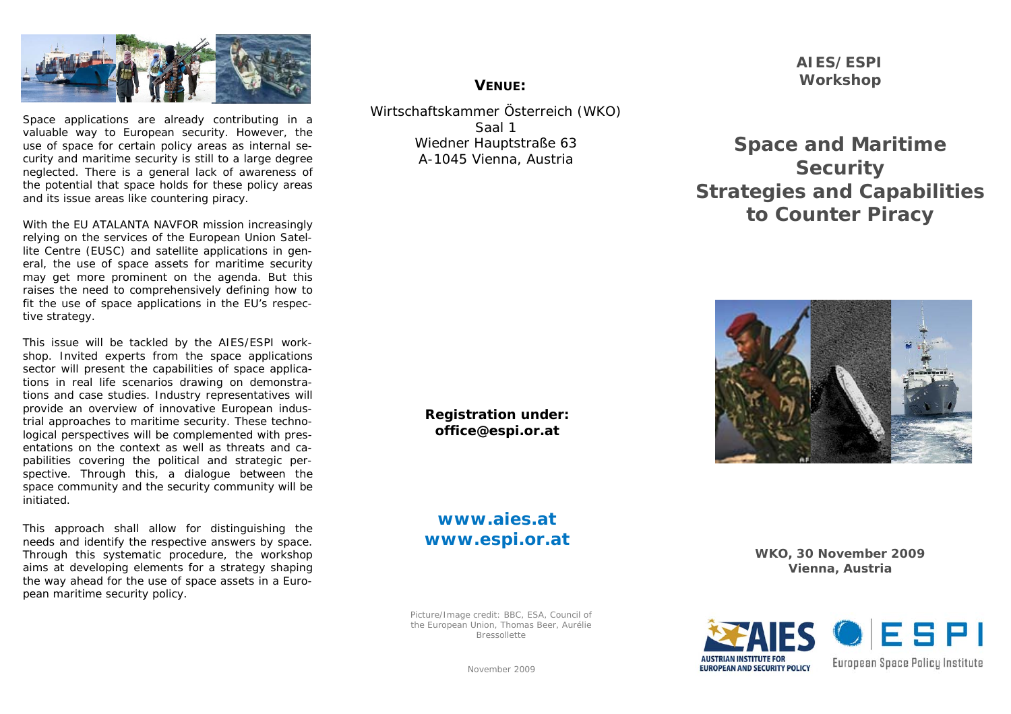

Space applications are already contributing in a valuable way to European security. However, the use of space for certain policy areas as internal security and maritime security is still to a large degree neglected. There is a general lack of awareness of the potential that space holds for these policy areas and its issue areas like countering piracy.

With the EU ATALANTA NAVFOR mission increasingly relying on the services of the European Union Satellite Centre (EUSC) and satellite applications in general, the use of space assets for maritime security may get more prominent on the agenda. But this raises the need to comprehensively defining how to fit the use of space applications in the EU's respective strategy.

This issue will be tackled by the AIES/ESPI workshop. Invited experts from the space applications sector will present the capabilities of space applications in real life scenarios drawing on demonstrations and case studies. Industry representatives will provide an overview of innovative European industrial approaches to maritime security. These technological perspectives will be complemented with presentations on the context as well as threats and capabilities covering the political and strategic perspective. Through this, a dialogue between the space community and the security community will be initiated.

This approach shall allow for distinguishing the needs and identify the respective answers by space. Through this systematic procedure, the workshop aims at developing elements for a strategy shaping the way ahead for the use of space assets in a European maritime security policy.

# **VENUE:**

Wirtschaftskammer Österreich (WKO) Saal 1 Wiedner Hauptstraße 63 A-1045 Vienna, Austria

> **Registration under: office@espi.or.at**

> **www.aies.at www.espi.or.at**

Picture/Image credit: BBC, ESA, Council of the European Union, Thomas Beer, Aurélie Bressollette

**AIES/ESPI Workshop** 

**Space and Maritime Security Strategies and Capabilities to Counter Piracy** 



**WKO, 30 November 2009 Vienna, Austria**